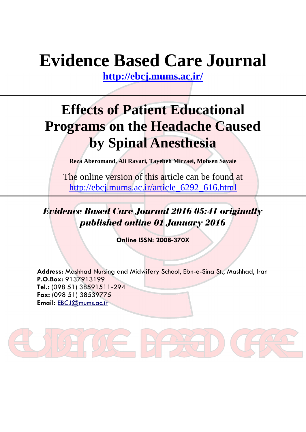# **Evidence Based Care Journal**

**<http://ebcj.mums.ac.ir/>**

## **Effects of Patient Educational Programs on the Headache Caused by Spinal Anesthesia**

**Reza Aberomand, Ali Ravari, Tayebeh Mirzaei, Mohsen Savaie**

The online version of this article can be found at [http://ebcj.mums.ac.ir/article\\_6292\\_616.html](http://ebcj.mums.ac.ir/article_6292_616.html)

*Evidence Based Care Journal 2016 05:41 originally published online 01 January 2016*

**Online ISSN: 2008-370X**

**Address:** Mashhad Nursing and Midwifery School, Ebn-e-Sina St., Mashhad, Iran **P.O.Box:** 9137913199 **Tel.:** (098 51) 38591511-294 **Fax:** (098 51) 38539775 **Email:** [EBCJ@mums.ac.ir](mailto:EBCJ@mums.ac.ir)

**UE HAXED**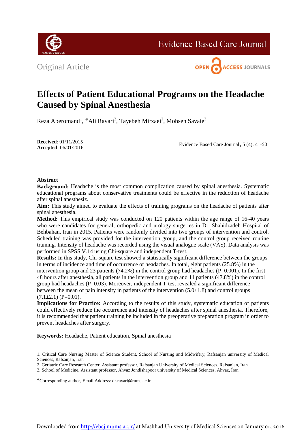

**Evidence Based Care Journal** 





### **Effects of Patient Educational Programs on the Headache Caused by Spinal Anesthesia**

Reza Aberomand<sup>1</sup>, \*Ali Ravari<sup>2</sup>, Tayebeh Mirzaei<sup>2</sup>, Mohsen Savaie<sup>3</sup>

**Received**: 01/11/2015 **Accepted**: 06/01/2016

Evidence Based Care Journal, 5 (4): 41-50

### **Abstract**

**Background:** Headache is the most common complication caused by spinal anesthesia. Systematic educational programs about conservative treatments could be effective in the reduction of headache after spinal anesthesiz.

**Aim:** This study aimed to evaluate the effects of training programs on the headache of patients after spinal anesthesia.

**Method:** This empirical study was conducted on 120 patients within the age range of 16-40 years who were candidates for general, orthopedic and urology surgeries in Dr. Shahidzadeh Hospital of Behbahan, Iran in 2015. Patients were randomly divided into two groups of intervention and control. Scheduled training was provided for the intervention group, and the control group received routine training. Intensity of headache was recorded using the visual analogue scale (VAS). Data analysis was performed in SPSS V.14 using Chi-square and independent T-test.

**Results:** In this study, Chi-square test showed a statistically significant difference between the groups in terms of incidence and time of occurrence of headaches. In total, eight patients (25.8%) in the intervention group and 23 patients (74.2%) in the control group had headaches ( $P=0.001$ ). In the first 48 hours after anesthesia, all patients in the intervention group and 11 patients (47.8%) in the control group had headaches  $(P=0.03)$ . Moreover, independent T-test revealed a significant difference between the mean of pain intensity in patients of the intervention  $(5.0\pm1.8)$  and control groups  $(7.1\pm2.1)$  (P=0.01).

**Implications for Practice:** According to the results of this study, systematic education of patients could effectively reduce the occurrence and intensity of headaches after spinal anesthesia. Therefore, it is recommended that patient training be included in the preoperative preparation program in order to prevent headaches after surgery.

**Keywords:** Headache, Patient education, Spinal anesthesia

<sup>1.</sup> Critical Care Nursing Master of Science Student, School of Nursing and Midwifery, Rafsanjan university of Medical Sciences, Rafsanjan, Iran

<sup>2.</sup> Geriatric Care Research Center, Assistant professor, Rafsanjan University of Medical Sciences, Rafsanjan, Iran

<sup>3.</sup> School of Medicine, Assistant professor, Ahvaz Jondishapoor university of Medical Sciences, Ahvaz, Iran

Corresponding author, Email Address: dr.ravari@rums.ac.ir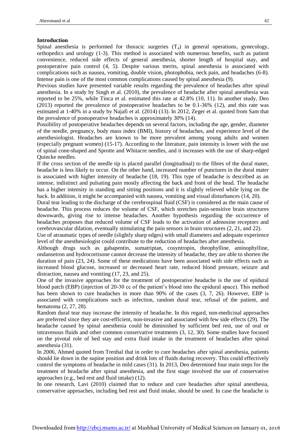#### **Introduction**

Spinal anesthesia is performed for thoracic surgeries  $(T_4)$  in general operations, gynecology, orthopedics and urology (1-3). This method is associated with numerous benefits, such as patient convenience, reduced side effects of general anesthesia, shorter length of hospital stay, and postoperative pain control (4, 5). Despite various merits, spinal anesthesia is associated with complications such as nausea, vomiting, double vision, photophobia, neck pain, and headaches (6-8). Intense pain is one of the most common complications caused by spinal anesthesia (9).

Previous studies have presented variable results regarding the prevalence of headaches after spinal anesthesia. In a study by Singh et al. (2010), the prevalence of headache after spinal anesthesia was reported to be 25%, while Tinca et al. estimated this rate at 42.8% (10, 11). In another study, Deo (2013) reported the prevalence of postoperative headaches to be 0.1-36% (12), and this rate was estimated at 1-40% in a study by Najafi et al. (2014) (13). In 2012, Zeger et al. quoted from Sam that the prevalence of postoperative headaches is approximately 30% (14).

Possibility of postoperative headaches depends on several factors, including the age, gender, diameter of the needle, pregnancy, body mass index (BMI), history of headaches, and experience level of the anesthesiologist. Headaches are known to be more prevalent among young adults and women (especially pregnant women) (15-17). According to the literature, pain intensity is lower with the use of spinal cone-shaped and Sprotte and Whitacre needles, and it increases with the use of sharp-edged Quincke needles.

If the cross section of the needle tip is placed parallel (longitudinal) to the fibres of the dural mater, headache is less likely to occur. On the other hand, increased number of punctures in the dural mater is associated with higher intensity of headache (18, 19). This type of headache is described as an intense, indistinct and pulsating pain mostly affecting the back and front of the head. The headache has a higher intensity in standing and sitting positions and it is slightly relieved while lying on the back. In addition, it might be accompanied with nausea, vomiting and visual disturbances (14, 20).

Dural tear leading to the discharge of the cerebrospinal fluid (CSF) is considered as the main cause of headache. This process reduces the volume of CSF, which stretches pain-sensitive brain structures downwards, giving rise to intense headaches. Another hypothesis regarding the occurrence of headaches proposes that reduced volume of CSF leads to the activation of adenosine receptors and cerebrovascular dilation, eventually stimulating the pain sensors in brain structures (2, 21, and 22).

Use of atraumatic types of needle (slightly sharp edges) with small diameters and adequate experience level of the anesthesiologist could contribute to the reduction of headaches after anesthesia.

Although drugs such as gabapentin, sumatriptan, cosyntropin, theophylline, aminophylline, ondansetron and hydrocortisone cannot decrease the intensity of headache, they are able to shorten the duration of pain (23, 24). Some of these medications have been associated with side effects such as increased blood glucose, increased or decreased heart rate, reduced blood pressure, seizure and distraction, nausea and vomiting (17, 23, and 25).

One of the invasive approaches for the treatment of postoperative headache is the use of epidural blood patch (EBP) (injection of 20-30 cc of the patient's blood into the epidural space). This method has been shown to cure headaches in more than 90% of the cases  $(3, 7, 26)$ . However, EBP is associated with complications such as infection, random dural tear, refusal of the patient, and hematoma (2, 27, 28).

Random dural tear may increase the intensity of headache. In this regard, non-medicinal approaches are preferred since they are cost-efficient, non-invasive and associated with few side effects (29). The headache caused by spinal anesthesia could be diminished by sufficient bed rest, use of oral or intravenous fluids and other common conservative treatments (3, 12, 30). Some studies have focused on the pivotal role of bed stay and extra fluid intake in the treatment of headaches after spinal anesthesia (31).

In 2006, Ahmed quoted from Trenbal that in order to cure headaches after spinal anesthesia, patients should lie down in the supine position and drink lots of fluids during recovery. This could effectively control the symptoms of headache in mild cases (31). In 2013, Deo determined four main steps for the treatment of headache after spinal anesthesia, and the first stage involved the use of conservative approaches (e.g., bed rest and fluid intake) (12).

In one research, Lavi (2010) claimed that to reduce and cure headaches after spinal anesthesia, conservative approaches, including bed rest and fluid intake, should be used. In case the headache is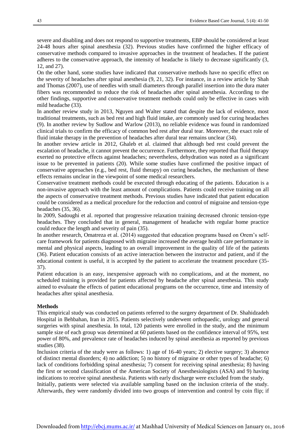severe and disabling and does not respond to supportive treatments, EBP should be considered at least 24-48 hours after spinal anesthesia (32). Previous studies have confirmed the higher efficacy of conservative methods compared to invasive approaches in the treatment of headaches. If the patient adheres to the conservative approach, the intensity of headache is likely to decrease significantly (3, 12, and 27).

On the other hand, some studies have indicated that conservative methods have no specific effect on the severity of headaches after spinal anesthesia (9, 21, 32). For instance, in a review article by Shah and Thomas (2007), use of needles with small diameters through parallel insertion into the dura mater fibers was recommended to reduce the risk of headaches after spinal anesthesia. According to the other findings, supportive and conservative treatment methods could only be effective in cases with mild headache (33).

In another review study in 2013, Nguyen and Walter stated that despite the lack of evidence, most traditional treatments, such as bed rest and high fluid intake, are commonly used for curing headaches (9). In another review by Sudlow and Warlow (2013), no reliable evidence was found in randomized clinical trials to confirm the efficacy of common bed rest after dural tear. Moreover, the exact role of fluid intake therapy in the prevention of headaches after dural tear remains unclear (34).

In another review article in 2012, Ghaleb et al. claimed that although bed rest could prevent the escalation of headache, it cannot prevent the occurrence. Furthermore, they reported that fluid therapy exerted no protective effects against headaches; nevertheless, dehydration was noted as a significant issue to be prevented in patients (20). While some studies have confirmed the positive impact of conservative approaches (e.g., bed rest, fluid therapy) on curing headaches, the mechanism of these effects remains unclear in the viewpoint of some medical researchers.

Conservative treatment methods could be executed through educating of the patients. Education is a non-invasive approach with the least amount of complications. Patients could receive training on all the aspects of conservative treatment methods. Previous studies have indicated that patient education could be considered as a medical procedure for the reduction and control of migraine and tension-type headaches (35, 36).

In 2009, Sadoughi et al. reported that progressive relaxation training decreased chronic tension-type headaches. They concluded that in general, management of headache with regular home practice could reduce the length and severity of pain (35).

In another research, Omatreza et al. (2014) suggested that education programs based on Orem's selfcare framework for patients diagnosed with migraine increased the average health care performance in mental and physical aspects, leading to an overall improvement in the quality of life of the patients (36). Patient education consists of an active interaction between the instructor and patient, and if the educational content is useful, it is accepted by the patient to accelerate the treatment procedure (35- 37).

Patient education is an easy, inexpensive approach with no complications, and at the moment, no scheduled training is provided for patients affected by headache after spinal anesthesia. This study aimed to evaluate the effects of patient educational programs on the occurrence, time and intensity of headaches after spinal anesthesia.

#### **Methods**

This empirical study was conducted on patients referred to the surgery department of Dr. Shahidzadeh Hospital in Behbahan, Iran in 2015. Patients selectively underwent orthopaedic, urology and general surgeries with spinal anesthesia. In total, 120 patients were enrolled in the study, and the minimum sample size of each group was determined at 60 patients based on the confidence interval of 95%, test power of 80%, and prevalence rate of headaches induced by spinal anesthesia as reported by previous studies (38).

Inclusion criteria of the study were as follows: 1) age of 16-40 years; 2) elective surgery; 3) absence of distinct mental disorders; 4) no addiction; 5) no history of migraine or other types of headache; 6) lack of conditions forbidding spinal anesthesia; 7) consent for receiving spinal anesthesia; 8) having the first or second classification of the American Society of Anesthesiologists (ASA) and 9) having indications to receive spinal anesthesia. Patients with early discharge were excluded from the study. Initially, patients were selected via available sampling based on the inclusion criteria of the study. Afterwards, they were randomly divided into two groups of intervention and control by coin flip; if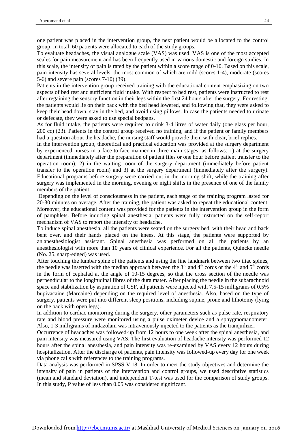one patient was placed in the intervention group, the next patient would be allocated to the control group. In total, 60 patients were allocated to each of the study groups.

To evaluate headaches, the visual analogue scale (VAS) was used. VAS is one of the most accepted scales for pain measurement and has been frequently used in various domestic and foreign studies. In this scale, the intensity of pain is rated by the patient within a score range of 0-10. Based on this scale, pain intensity has several levels, the most common of which are mild (scores 1-4), moderate (scores 5-6) and severe pain (scores 7-10) (39).

Patients in the intervention group received training with the educational content emphasizing on two aspects of bed rest and sufficient fluid intake. With respect to bed rest, patients were instructed to rest after regaining the sensory function in their legs within the first 24 hours after the surgery. For resting, the patients would lie on their back with the bed head lowered, and following that, they were asked to keep their head down, stay in the bed, and avoid using pillows. In case the patients needed to urinate or defecate, they were asked to use special bedpans.

As for fluid intake, the patients were required to drink 3-4 litres of water daily (one glass per hour, 200 cc) (23). Patients in the control group received no training, and if the patient or family members had a question about the headache, the nursing staff would provide them with clear, brief replies.

In the intervention group, theoretical and practical education was provided at the surgery department by experienced nurses in a face-to-face manner in three main stages, as follows: 1) at the surgery department (immediately after the preparation of patient files or one hour before patient transfer to the operation room); 2) in the waiting room of the surgery department (immediately before patient transfer to the operation room) and 3) at the surgery department (immediately after the surgery). Educational programs before surgery were carried out in the morning shift, while the training after surgery was implemented in the morning, evening or night shifts in the presence of one of the family members of the patient.

Depending on the level of consciousness in the patient, each stage of the training program lasted for 20-30 minutes on average. After the training, the patient was asked to repeat the educational content. Moreover, the educational content was provided for the patients in the intervention group in the form of pamphlets. Before inducing spinal anesthesia, patients were fully instructed on the self-report mechanism of VAS to report the intensity of headache.

To induce spinal anesthesia, all the patients were seated on the surgery bed, with their head and back bent over, and their hands placed on the knees. At this stage, the patients were supported by an anesthesiologist assistant. Spinal anesthesia was performed on all the patients by an anesthesiologist with more than 10 years of clinical experience. For all the patients, Quincke needle (No. 25, sharp-edged) was used.

After touching the lumbar spine of the patients and using the line landmark between two iliac spines, the needle was inserted with the median approach between the  $3<sup>rd</sup>$  and  $4<sup>th</sup>$  cords or the  $4<sup>th</sup>$  and  $5<sup>th</sup>$  cords in the form of cephalad at the angle of 10-15 degrees, so that the cross section of the needle was perpendicular to the longitudinal fibres of the dura mater. After placing the needle in the subarachnoid space and stabilization by aspiration of CSF, all patients were injected with 7.5-15 milligrams of 0.5% bupivacaine (Marcaine) depending on the required level of anesthesia. Also, based on the type of surgery, patients were put into different sleep positions, including supine, prone and lithotomy (lying on the back with open legs).

In addition to cardiac monitoring during the surgery, other parameters such as pulse rate, respiratory rate and blood pressure were monitored using a pulse oximeter device and a sphygmomanometer. Also, 1-3 milligrams of midazolam was intravenously injected to the patients as the tranquilizer.

Occurrence of headaches was followed-up from 12 hours to one week after the spinal anesthesia, and pain intensity was measured using VAS. The first evaluation of headache intensity was performed 12 hours after the spinal anesthesia, and pain intensity was re-examined by VAS every 12 hours during hospitalization. After the discharge of patients, pain intensity was followed-up every day for one week via phone calls with references to the training programs.

Data analysis was performed in SPSS V.18. In order to meet the study objectives and determine the intensity of pain in patients of the intervention and control groups, we used descriptive statistics (mean and standard deviation), and independent T-test was used for the comparison of study groups. In this study, P value of less than 0.05 was considered significant.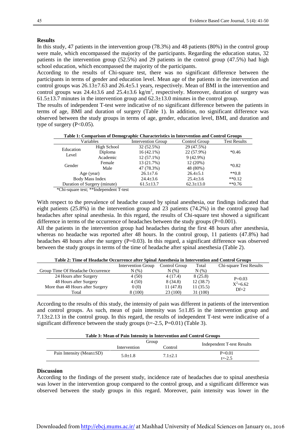#### **Results**

In this study, 47 patients in the intervention group (78.3%) and 48 patients (80%) in the control group were male, which encompassed the majority of the participants. Regarding the education status, 32 patients in the intervention group (52.5%) and 29 patients in the control group (47.5%) had high school education, which encompassed the majority of the participants.

According to the results of Chi-square test, there was no significant difference between the participants in terms of gender and education level. Mean age of the patients in the intervention and control groups was 26.13±7.63 and 26.4±5.1 years, respectively. Mean of BMI in the intervention and control groups was  $24.4\pm3.6$  and  $25.4\pm3.6$  kg/m<sup>2</sup>, respectively. Moreover, duration of surgery was  $61.5\pm13.7$  minutes in the intervention group and  $62.3\pm13.0$  minutes in the control group.

The results of independent T-test were indicative of no significant difference between the patients in terms of age, BMI and duration of surgery (Table 1). In addition, no significant difference was observed between the study groups in terms of age, gender, education level, BMI, and duration and type of surgery  $(P<0.05)$ .

| Table 1: Comparison of Demographic Characteristics in Intervention and Control Groups |  |
|---------------------------------------------------------------------------------------|--|
|---------------------------------------------------------------------------------------|--|

|                              | Variables              | <b>Intervention Group</b> | Control Group   | <b>Test Results</b> |  |
|------------------------------|------------------------|---------------------------|-----------------|---------------------|--|
| Education                    | High School            | 32 (52.5%)                | 29 (47.5%)      |                     |  |
| Level                        | Diploma                | $16(42.1\%)$              | 22 (57.9%)      | $*0.46$             |  |
|                              | Academic               | $12(57.1\%)$              | $9(42.9\%)$     |                     |  |
| Gender                       | Female                 | 13 (21.7%)                | 12(20%)         |                     |  |
|                              | Male                   | 47 (78.3%)                | 48 (80%)        | $*0.82$             |  |
|                              | Age (year)             | $26.1 \pm 7.6$            | $26.4 \pm 5.1$  | $**0.8$             |  |
|                              | <b>Body Mass Index</b> | $24.4 \pm 3.6$            | $25.4 \pm 3.6$  | $**0.12$            |  |
| Duration of Surgery (minute) |                        | $61.5 \pm 13.7$           | $62.3 \pm 13.0$ | $**0.76$            |  |

\*Chi-square test; \*\*Independent T-test

With respect to the prevalence of headache caused by spinal anesthesia, our findings indicated that eight patients (25.8%) in the intervention group and 23 patients (74.2%) in the control group had headaches after spinal anesthesia. In this regard, the results of Chi-square test showed a significant difference in terms of the occurrence of headaches between the study groups  $(P=0.001)$ .

All the patients in the intervention group had headaches during the first 48 hours after anesthesia, whereas no headache was reported after 48 hours. In the control group, 11 patients (47.8%) had headaches 48 hours after the surgery (P=0.03). In this regard, a significant difference was observed between the study groups in terms of the time of headache after spinal anesthesia (Table 2).

| Table 2, Thile of Headache Occurrence and Spinal Allestiicsia in thief vehilon and Control Groups |                    |               |          |                         |
|---------------------------------------------------------------------------------------------------|--------------------|---------------|----------|-------------------------|
|                                                                                                   | Intervention Group | Control Group | Total    | Chi-square Test Results |
| Group Time Of Headache Occurrence                                                                 | N(% )              | N(% )         | $N(\%)$  |                         |
| 24 Hours after Surgery                                                                            | 4 (50)             | 4(17.4)       | 8(25.8)  | $P=0.03$                |
| 48 Hours after Surgery                                                                            | 4 (50)             | 8(34.8)       | 12(38.7) | $X^2=6.62$              |
| More than 48 Hours after Surgery                                                                  | 0(0)               | 11(47.8)      | 11(35.5) | $Df=2$                  |
| Total                                                                                             | 8 (100)            | 23 (100)      | 31 (100) |                         |
|                                                                                                   |                    |               |          |                         |

**Table 2: Time of Headache Occurrence after Spinal Anesthesia in Intervention and Control Groups**

According to the results of this study, the intensity of pain was different in patients of the intervention and control groups. As such, mean of pain intensity was  $5\pm1.85$  in the intervention group and 7.13±2.13 in the control group. In this regard, the results of independent T-test were indicative of a significant difference between the study groups ( $t = -2.5$ ,  $P = 0.01$ ) (Table 3).

| Table 3: Mean of Pain Intensity in Intervention and Control Groups |              |             |                            |  |
|--------------------------------------------------------------------|--------------|-------------|----------------------------|--|
|                                                                    | Group        |             | Independent T-test Results |  |
|                                                                    | Intervention | Control     |                            |  |
| Pain Intensity (Mean $\pm SD$ )                                    | $5.0 + 1.8$  | $7.1 + 2.1$ | $P=0.01$                   |  |
|                                                                    |              |             | $t = -2.5$                 |  |

#### **Discussion**

According to the findings of the present study, incidence rate of headaches due to spinal anesthesia was lower in the intervention group compared to the control group, and a significant difference was observed between the study groups in this regard. Moreover, pain intensity was lower in the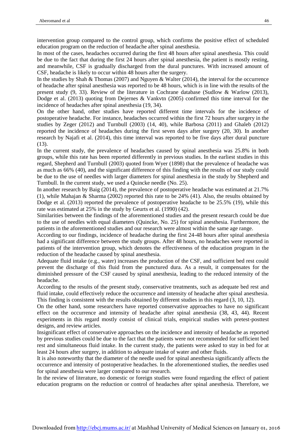intervention group compared to the control group, which confirms the positive effect of scheduled education program on the reduction of headache after spinal anesthesia.

In most of the cases, headaches occurred during the first 48 hours after spinal anesthesia. This could be due to the fact that during the first 24 hours after spinal anesthesia, the patient is mostly resting, and meanwhile, CSF is gradually discharged from the dural punctures. With increased amount of CSF, headache is likely to occur within 48 hours after the surgery.

In the studies by Shah & Thomas (2007) and Nguyen & Walter (2014), the interval for the occurrence of headache after spinal anesthesia was reported to be 48 hours, which is in line with the results of the present study (9, 33). Review of the literature in Cochrane database (Sudlow & Warlow (2013), Dodge et al. (2013) quoting from Dejernes & Vankvtn (2005) confirmed this time interval for the incidence of headaches after spinal anesthesia (19, 34).

On the other hand, other studies have reported different time intervals for the incidence of postoperative headache. For instance, headaches occurred within the first 72 hours after surgery in the studies by Zeger (2012) and Turnbull (2003) (14, 40), while Barbosa (2011) and Ghaleb (2012) reported the incidence of headaches during the first seven days after surgery (20, 30). In another research by Najafi et al. (2014), this time interval was reported to be five days after dural puncture (13).

In the current study, the prevalence of headaches caused by spinal anesthesia was 25.8% in both groups, while this rate has been reported differently in previous studies. In the earliest studies in this regard, Shepherd and Turnbull (2003) quoted from Wyer (1898) that the prevalence of headache was as much as 66% (40), and the significant difference of this finding with the results of our study could be due to the use of needles with larger diameters for spinal anesthesia in the study by Shepherd and Turnbull. In the current study, we used a Quincke needle (No. 25).

In another research by Baig (2014), the prevalence of postoperative headache was estimated at 21.7% (1), while Mahajan & Sharma (2002) reported this rate to be 24% (41). Also, the results obtained by Dodge et al. (2013) reported the prevalence of postoperative headache to be 25.5% (19), while this rate was estimated at 25% in the study by Geurts et al. (1990) (42).

Similarities between the findings of the aforementioned studies and the present research could be due to the use of needles with equal diameters (Quincke, No. 25) for spinal anesthesia. Furthermore, the patients in the aforementioned studies and our research were almost within the same age range.

According to our findings, incidence of headache during the first 24-48 hours after spinal anesthesia had a significant difference between the study groups. After 48 hours, no headaches were reported in patients of the intervention group, which denotes the effectiveness of the education program in the reduction of the headache caused by spinal anesthesia.

Adequate fluid intake (e.g., water) increases the production of the CSF, and sufficient bed rest could prevent the discharge of this fluid from the punctured dura. As a result, it compensates for the diminished pressure of the CSF caused by spinal anesthesia, leading to the reduced intensity of the headache.

According to the results of the present study, conservative treatments, such as adequate bed rest and fluid intake, could effectively reduce the occurrence and intensity of headache after spinal anesthesia. This finding is consistent with the results obtained by different studies in this regard (3, 10, 12).

On the other hand, some researchers have reported conservative approaches to have no significant effect on the occurrence and intensity of headache after spinal anesthesia (38, 43, 44). Recent experiments in this regard mostly consist of clinical trials, empirical studies with pretest-posttest designs, and review articles.

Insignificant effect of conservative approaches on the incidence and intensity of headache as reported by previous studies could be due to the fact that the patients were not recommended for sufficient bed rest and simultaneous fluid intake. In the current study, the patients were asked to stay in bed for at least 24 hours after surgery, in addition to adequate intake of water and other fluids.

It is also noteworthy that the diameter of the needle used for spinal anesthesia significantly affects the occurrence and intensity of postoperative headaches. In the aforementioned studies, the needles used for spinal anesthesia were larger compared to our research.

In the review of literature, no domestic or foreign studies were found regarding the effect of patient education programs on the reduction or control of headaches after spinal anesthesia. Therefore, we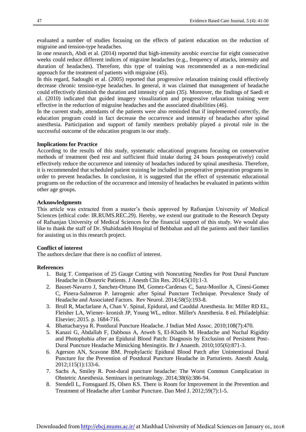evaluated a number of studies focusing on the effects of patient education on the reduction of migraine and tension-type headaches.

In one research, Abdi et al. (2014) reported that high-intensity aerobic exercise for eight consecutive weeks could reduce different indices of migraine headaches (e.g., frequency of attacks, intensity and duration of headaches). Therefore, this type of training was recommended as a non-medicinal approach for the treatment of patients with migraine (45).

In this regard, Sadoughi et al. (2005) reported that progressive relaxation training could effectively decrease chronic tension-type headaches. In general, it was claimed that management of headache could effectively diminish the duration and intensity of pain (35). Moreover, the findings of Saedi et al. (2010) indicated that guided imagery visualization and progressive relaxation training were effective in the reduction of migraine headaches and the associated disabilities (46).

In the current study, attendants of the patients were also reminded that if implemented correctly, the education program could in fact decrease the occurrence and intensity of headaches after spinal anesthesia. Participation and support of family members probably played a pivotal role in the successful outcome of the education program in our study.

#### **Implications for Practice**

According to the results of this study, systematic educational programs focusing on conservative methods of treatment (bed rest and sufficient fluid intake during 24 hours postoperatively) could effectively reduce the occurrence and intensity of headaches induced by spinal anesthesia. Therefore, it is recommended that scheduled patient training be included in preoperative preparation programs in order to prevent headaches. In conclusion, it is suggested that the effect of systematic educational programs on the reduction of the occurrence and intensity of headaches be evaluated in patients within other age groups.

#### **Acknowledgments**

This article was extracted from a master's thesis approved by Rafsanjan University of Medical Sciences (ethical code: IR.RUMS.REC.29). Hereby, we extend our gratitude to the Research Deputy of Rafsanjan University of Medical Sciences for the financial support of this study. We would also like to thank the staff of Dr. Shahidzadeh Hospital of Behbahan and all the patients and their families for assisting us in this research project.

#### **Conflict of interest**

The authors declare that there is no conflict of interest.

#### **References**

- 1. Baig T. Comparison of 25 Gauge Cutting with Noncutting Needles for Post Dural Puncture Headache in Obstetric Patients. J Anesth Clin Res. 2014;5(10):1-3.
- 2. Bauset-Navarro J, Sanchez-Ortuno IM, Gomez-Cardenas C, Sanz-Monllor A, Cinesi-Gomez C, Pinera-Salmeron P. Iatrogenic after Spinal Puncture Technique. Prevalence Study of Headache and Associated Factors. Rev Neurol. 2014;58(5):193-8.
- 3. Brull R, Macfarlane A, Chan V. Spinal, Epidural, and Cauddal Anesthesia. In: Miller RD EL, Fleisher LA, Wiener- kronish JP, Young WL, editor. Miller's Anesthesia. 8 ed. Philadelphia: Elsevier; 2015. p. 1684-716.
- 4. Bhattacharyya R. Postdural Puncture Headache. J Indian Med Assoc. 2010;108(7):470.
- 5. Kanazi G, Abdallah F, Dabbous A, Atweh S, El-Khatib M. Headache and Nuchal Rigidity and Photophobia after an Epidural Blood Patch: Diagnosis by Exclusion of Persistent Post-Dural Puncture Headache Mimicking Meningitis. Br J Anaesth. 2010;105(6):871-3.
- 6. Agerson AN, Scavone BM. Prophylactic Epidural Blood Patch after Unintentional Dural Puncture for the Prevention of Postdural Puncture Headache in Parturients. Anesth Analg. 2012;115(1):133-6.
- 7. Sachs A, Smiley R. Post-dural puncture headache: The Worst Common Complication in Obstetric Anesthesia. Seminars in perinatology. 2014;38(6):386-94.
- 8. Stendell L, Fomsgaard JS, Olsen KS. There is Room for Improvement in the Prevention and Treatment of Headache after Lumbar Puncture. Dan Med J. 2012;59(7):1-5.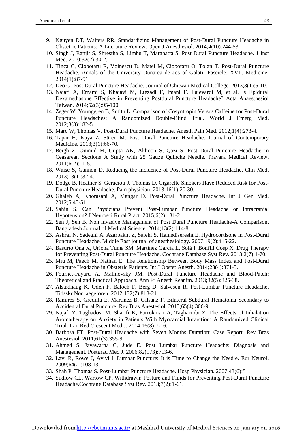- 9. Nguyen DT, Walters RR. Standardizing Management of Post-Dural Puncture Headache in Obstetric Patients: A Literature Review. Open J Anesthesiol. 2014;4(10):244-53.
- 10. Singh J, Ranjit S, Shrestha S, Limbu T, Marahatta S. Post Dural Puncture Headache. J Inst Med. 2010;32(2):30-2.
- 11. Tinca C, Ciobotaru R, Voinescu D, Matei M, Ciobotaru O, Tolan T. Post-Dural Puncture Headache. Annals of the University Dunarea de Jos of Galati: Fascicle: XVII, Medicine. 2014(1):87-91.
- 12. Deo G. Post Dural Puncture Headache. Journal of Chitwan Medical College. 2013;3(1):5-10.
- 13. Najafi A, Emami S, Khajavi M, Etezadi F, Imani F, Lajevardi M, et al. Is Epidural Dexamethasone Effective in Preventing Postdural Puncture Headache? Acta Anaesthesiol Taiwan. 2014;52(3):95-100.
- 14. Zeger W, Younggren B, Smith L. Comparison of Cosyntropin Versus Caffeine for Post-Dural Puncture Headaches: A Randomized Double-Blind Trial. World J Emerg Med. 2012;3(3):182-5.
- 15. Marc W, Thomas V. Post-Dural Puncture Headache. Anesth Pain Med. 2012;1(4):273-4.
- 16. Tapar H, Kaya Z, Süren M. Post Dural Puncture Headache. Journal of Contemporary Medicine. 2013;3(1):66-70.
- 17. Beigh Z, Ommid M, Gupta AK, Akhoon S, Qazi S. Post Dural Puncture Headache in Ceasarean Sections A Study with 25 Gauze Quincke Needle. Pravara Medical Review. 2011;6(2):11-5.
- 18. Waise S, Gannon D. Reducing the Incidence of Post-Dural Puncture Headache. Clin Med. 2013;13(1):32-4.
- 19. Dodge B, Heather S, Geracioti J, Thomas D. Cigarette Smokers Have Reduced Risk for Post-Dural Puncture Headache. Pain physician. 2013;16(1):20-30.
- 20. Ghaleb A, Khorasani A, Mangar D. Post-Dural Puncture Headache. Int J Gen Med. 2012;5:45-51.
- 21. Sahin S. Can Physicians Prevent Post-Lumbar Puncture Headache or Intracranial Hypotension? J Neurosci Rural Pract. 2015;6(2):131-2.
- 22. Sen J, Sen B. Non invasive Management of Post Dural Puncture Headache-A Comparison. Bangladesh Journal of Medical Science. 2014;13(2):114-8.
- 23. Ashraf N, Sadeghi A, Azarbakht Z, Salehi S, Hamediseresht E. Hydrocortisone in Post-Dural Puncture Headache. Middle East journal of anesthesiology. 2007;19(2):415-22.
- 24. Basurto Ona X, Uriona Tuma SM, Martínez García L, Solà I, Bonfill Cosp X. Drug Therapy for Preventing Post-Dural Puncture Headache. Cochrane Database Syst Rev. 2013;2(7):1-70.
- 25. Miu M, Paech M, Nathan E. The Relationship Between Body Mass Index and Post-Dural Puncture Headache in Obstetric Patients. Int J Obstet Anesth. 2014;23(4):371-5.
- 26. Fournet-Fayard A, Malinovsky JM. Post-Dural Puncture Headache and Blood-Patch: Theoretical and Practical Approach. Ann Fr Anesth Reanim. 2013;32(5):325-38.
- 27. Alstadhaug K, Odeh F, Baloch F, Berg D, Salvesen R. Post-Lumbar Puncture Headache. Tidsskr Nor laegeforen. 2012;132(7):818-21.
- 28. Ramirez S, Gredilla E, Martinez B, Gilsanz F. Bilateral Subdural Hematoma Secondary to Accidental Dural Puncture. Rev Bras Anestesiol. 2015;65(4):306-9.
- 29. Najafi Z, Taghadosi M, Sharifi K, Farrokhian A, Tagharrobi Z. The Effects of Inhalation Aromatherapy on Anxiety in Patients With Myocardial Infarction: A Randomized Clinical Trial. Iran Red Crescent Med J. 2014;16(8):7-16.
- 30. Barbosa FT. Post-Dural Headache with Seven Months Duration: Case Report. Rev Bras Anestesiol. 2011;61(3):355-9.
- 31. Ahmed S, Jayawarna C, Jude E. Post Lumbar Puncture Headache: Diagnosis and Management. Postgrad Med J. 2006;82(973):713-6.
- 32. Lavi R, Rowe J, Avivi I. Lumbar Puncture: It is Time to Change the Needle. Eur Neurol. 2009;64(2):108-13.
- 33. Shah P, Thomas S. Post-Lumbar Puncture Headache. Hosp Physician. 2007;43(6):51.
- 34. Sudlow CL, Warlow CP. Withdrawn: Posture and Fluids for Preventing Post-Dural Puncture Headache.Cochrane Database Syst Rev. 2013;7(2):1-61.